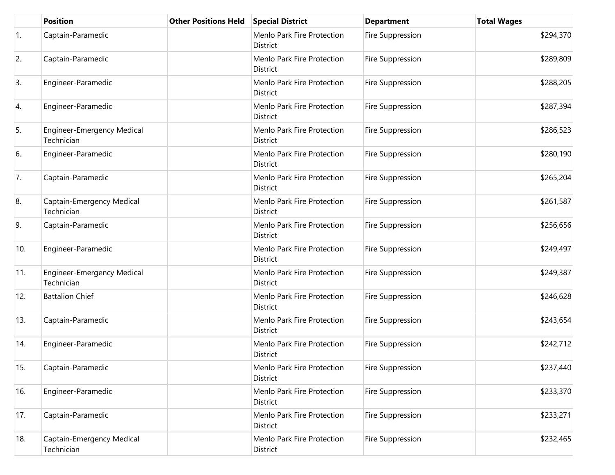|            | <b>Position</b>                                 | <b>Other Positions Held</b> | <b>Special District</b>                       | <b>Department</b> | <b>Total Wages</b> |
|------------|-------------------------------------------------|-----------------------------|-----------------------------------------------|-------------------|--------------------|
| $\vert$ 1. | Captain-Paramedic                               |                             | Menlo Park Fire Protection<br>District        | Fire Suppression  | \$294,370          |
| 2.         | Captain-Paramedic                               |                             | Menlo Park Fire Protection<br>District        | Fire Suppression  | \$289,809          |
| 3.         | Engineer-Paramedic                              |                             | Menlo Park Fire Protection<br>District        | Fire Suppression  | \$288,205          |
| 4.         | Engineer-Paramedic                              |                             | Menlo Park Fire Protection<br>District        | Fire Suppression  | \$287,394          |
| 5.         | <b>Engineer-Emergency Medical</b><br>Technician |                             | Menlo Park Fire Protection<br>District        | Fire Suppression  | \$286,523          |
| 6.         | Engineer-Paramedic                              |                             | Menlo Park Fire Protection<br>District        | Fire Suppression  | \$280,190          |
| 7.         | Captain-Paramedic                               |                             | Menlo Park Fire Protection<br>District        | Fire Suppression  | \$265,204          |
| 8.         | Captain-Emergency Medical<br>Technician         |                             | Menlo Park Fire Protection<br>District        | Fire Suppression  | \$261,587          |
| 9.         | Captain-Paramedic                               |                             | Menlo Park Fire Protection<br>District        | Fire Suppression  | \$256,656          |
| 10.        | Engineer-Paramedic                              |                             | Menlo Park Fire Protection<br>District        | Fire Suppression  | \$249,497          |
| 11.        | <b>Engineer-Emergency Medical</b><br>Technician |                             | Menlo Park Fire Protection<br>District        | Fire Suppression  | \$249,387          |
| 12.        | <b>Battalion Chief</b>                          |                             | Menlo Park Fire Protection<br><b>District</b> | Fire Suppression  | \$246,628          |
| 13.        | Captain-Paramedic                               |                             | Menlo Park Fire Protection<br>District        | Fire Suppression  | \$243,654          |
| 14.        | Engineer-Paramedic                              |                             | Menlo Park Fire Protection<br>District        | Fire Suppression  | \$242,712          |
| 15.        | Captain-Paramedic                               |                             | Menlo Park Fire Protection<br>District        | Fire Suppression  | \$237,440          |
| 16.        | Engineer-Paramedic                              |                             | Menlo Park Fire Protection<br>District        | Fire Suppression  | \$233,370          |
| 17.        | Captain-Paramedic                               |                             | Menlo Park Fire Protection<br>District        | Fire Suppression  | \$233,271          |
| 18.        | Captain-Emergency Medical<br>Technician         |                             | Menlo Park Fire Protection<br>District        | Fire Suppression  | \$232,465          |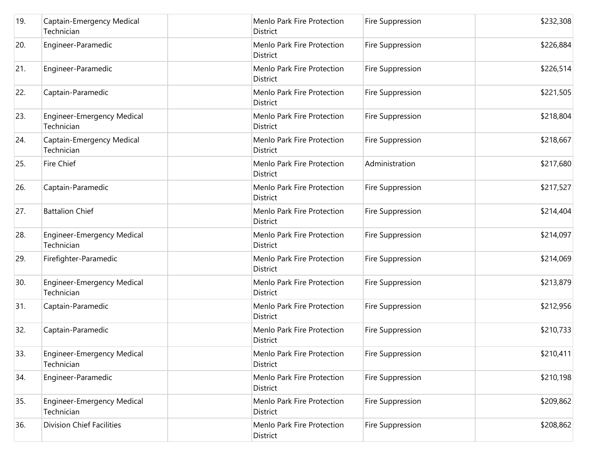| 19. | Captain-Emergency Medical<br>Technician         | Menlo Park Fire Protection<br>District        | Fire Suppression | \$232,308 |
|-----|-------------------------------------------------|-----------------------------------------------|------------------|-----------|
| 20. | Engineer-Paramedic                              | Menlo Park Fire Protection<br>District        | Fire Suppression | \$226,884 |
| 21. | Engineer-Paramedic                              | Menlo Park Fire Protection<br>District        | Fire Suppression | \$226,514 |
| 22. | Captain-Paramedic                               | Menlo Park Fire Protection<br>District        | Fire Suppression | \$221,505 |
| 23. | <b>Engineer-Emergency Medical</b><br>Technician | Menlo Park Fire Protection<br>District        | Fire Suppression | \$218,804 |
| 24. | Captain-Emergency Medical<br>Technician         | Menlo Park Fire Protection<br>District        | Fire Suppression | \$218,667 |
| 25. | <b>Fire Chief</b>                               | Menlo Park Fire Protection<br>District        | Administration   | \$217,680 |
| 26. | Captain-Paramedic                               | Menlo Park Fire Protection<br>District        | Fire Suppression | \$217,527 |
| 27. | <b>Battalion Chief</b>                          | Menlo Park Fire Protection<br>District        | Fire Suppression | \$214,404 |
| 28. | <b>Engineer-Emergency Medical</b><br>Technician | Menlo Park Fire Protection<br>District        | Fire Suppression | \$214,097 |
| 29. | Firefighter-Paramedic                           | Menlo Park Fire Protection<br>District        | Fire Suppression | \$214,069 |
| 30. | <b>Engineer-Emergency Medical</b><br>Technician | Menlo Park Fire Protection<br>District        | Fire Suppression | \$213,879 |
| 31. | Captain-Paramedic                               | Menlo Park Fire Protection<br><b>District</b> | Fire Suppression | \$212,956 |
| 32. | Captain-Paramedic                               | Menlo Park Fire Protection<br>District        | Fire Suppression | \$210,733 |
| 33. | <b>Engineer-Emergency Medical</b><br>Technician | Menlo Park Fire Protection<br>District        | Fire Suppression | \$210,411 |
| 34. | Engineer-Paramedic                              | Menlo Park Fire Protection<br>District        | Fire Suppression | \$210,198 |
| 35. | <b>Engineer-Emergency Medical</b><br>Technician | Menlo Park Fire Protection<br>District        | Fire Suppression | \$209,862 |
| 36. | <b>Division Chief Facilities</b>                | Menlo Park Fire Protection<br>District        | Fire Suppression | \$208,862 |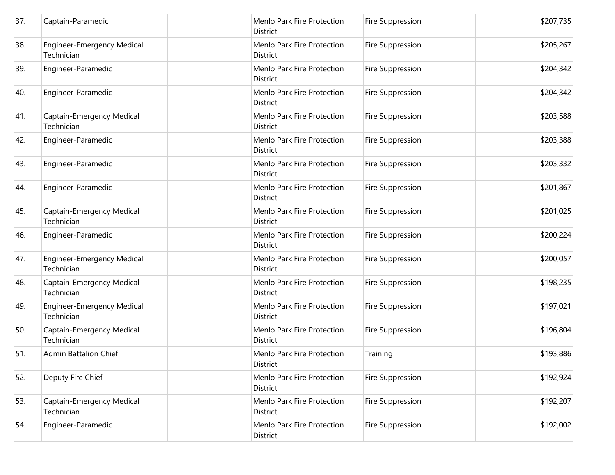| 37. | Captain-Paramedic                               | Menlo Park Fire Protection<br><b>District</b> | Fire Suppression | \$207,735 |
|-----|-------------------------------------------------|-----------------------------------------------|------------------|-----------|
| 38. | <b>Engineer-Emergency Medical</b><br>Technician | Menlo Park Fire Protection<br>District        | Fire Suppression | \$205,267 |
| 39. | Engineer-Paramedic                              | Menlo Park Fire Protection<br><b>District</b> | Fire Suppression | \$204,342 |
| 40. | Engineer-Paramedic                              | Menlo Park Fire Protection<br><b>District</b> | Fire Suppression | \$204,342 |
| 41. | Captain-Emergency Medical<br>Technician         | Menlo Park Fire Protection<br>District        | Fire Suppression | \$203,588 |
| 42. | Engineer-Paramedic                              | Menlo Park Fire Protection<br><b>District</b> | Fire Suppression | \$203,388 |
| 43. | Engineer-Paramedic                              | Menlo Park Fire Protection<br><b>District</b> | Fire Suppression | \$203,332 |
| 44. | Engineer-Paramedic                              | Menlo Park Fire Protection<br>District        | Fire Suppression | \$201,867 |
| 45. | Captain-Emergency Medical<br>Technician         | Menlo Park Fire Protection<br>District        | Fire Suppression | \$201,025 |
| 46. | Engineer-Paramedic                              | Menlo Park Fire Protection<br>District        | Fire Suppression | \$200,224 |
| 47. | <b>Engineer-Emergency Medical</b><br>Technician | Menlo Park Fire Protection<br>District        | Fire Suppression | \$200,057 |
| 48. | Captain-Emergency Medical<br>Technician         | Menlo Park Fire Protection<br><b>District</b> | Fire Suppression | \$198,235 |
| 49. | <b>Engineer-Emergency Medical</b><br>Technician | Menlo Park Fire Protection<br><b>District</b> | Fire Suppression | \$197,021 |
| 50. | Captain-Emergency Medical<br>Technician         | Menlo Park Fire Protection<br><b>District</b> | Fire Suppression | \$196,804 |
| 51. | <b>Admin Battalion Chief</b>                    | Menlo Park Fire Protection<br>District        | Training         | \$193,886 |
| 52. | Deputy Fire Chief                               | Menlo Park Fire Protection<br>District        | Fire Suppression | \$192,924 |
| 53. | Captain-Emergency Medical<br>Technician         | Menlo Park Fire Protection<br><b>District</b> | Fire Suppression | \$192,207 |
| 54. | Engineer-Paramedic                              | Menlo Park Fire Protection<br>District        | Fire Suppression | \$192,002 |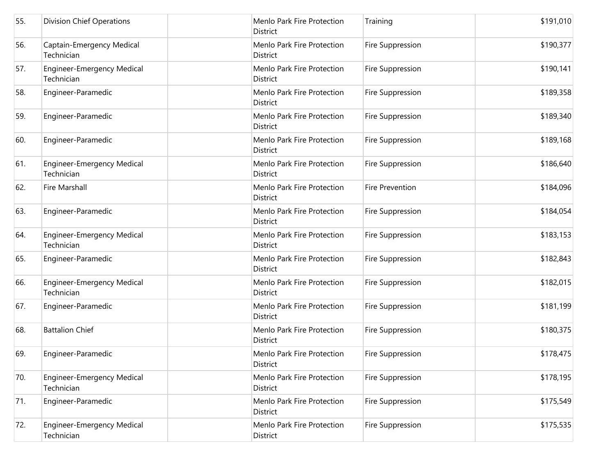| 55. | <b>Division Chief Operations</b>                | Menlo Park Fire Protection<br>District        | Training         | \$191,010 |
|-----|-------------------------------------------------|-----------------------------------------------|------------------|-----------|
| 56. | Captain-Emergency Medical<br>Technician         | Menlo Park Fire Protection<br>District        | Fire Suppression | \$190,377 |
| 57. | <b>Engineer-Emergency Medical</b><br>Technician | Menlo Park Fire Protection<br>District        | Fire Suppression | \$190,141 |
| 58. | Engineer-Paramedic                              | Menlo Park Fire Protection<br>District        | Fire Suppression | \$189,358 |
| 59. | Engineer-Paramedic                              | Menlo Park Fire Protection<br>District        | Fire Suppression | \$189,340 |
| 60. | Engineer-Paramedic                              | Menlo Park Fire Protection<br>District        | Fire Suppression | \$189,168 |
| 61. | <b>Engineer-Emergency Medical</b><br>Technician | Menlo Park Fire Protection<br><b>District</b> | Fire Suppression | \$186,640 |
| 62. | Fire Marshall                                   | Menlo Park Fire Protection<br>District        | Fire Prevention  | \$184,096 |
| 63. | Engineer-Paramedic                              | Menlo Park Fire Protection<br>District        | Fire Suppression | \$184,054 |
| 64. | <b>Engineer-Emergency Medical</b><br>Technician | Menlo Park Fire Protection<br>District        | Fire Suppression | \$183,153 |
| 65. | Engineer-Paramedic                              | Menlo Park Fire Protection<br>District        | Fire Suppression | \$182,843 |
| 66. | <b>Engineer-Emergency Medical</b><br>Technician | Menlo Park Fire Protection<br>District        | Fire Suppression | \$182,015 |
| 67. | Engineer-Paramedic                              | Menlo Park Fire Protection<br>District        | Fire Suppression | \$181,199 |
| 68. | <b>Battalion Chief</b>                          | Menlo Park Fire Protection<br>District        | Fire Suppression | \$180,375 |
| 69. | Engineer-Paramedic                              | Menlo Park Fire Protection<br>District        | Fire Suppression | \$178,475 |
| 70. | <b>Engineer-Emergency Medical</b><br>Technician | Menlo Park Fire Protection<br>District        | Fire Suppression | \$178,195 |
| 71. | Engineer-Paramedic                              | Menlo Park Fire Protection<br>District        | Fire Suppression | \$175,549 |
| 72. | <b>Engineer-Emergency Medical</b><br>Technician | Menlo Park Fire Protection<br>District        | Fire Suppression | \$175,535 |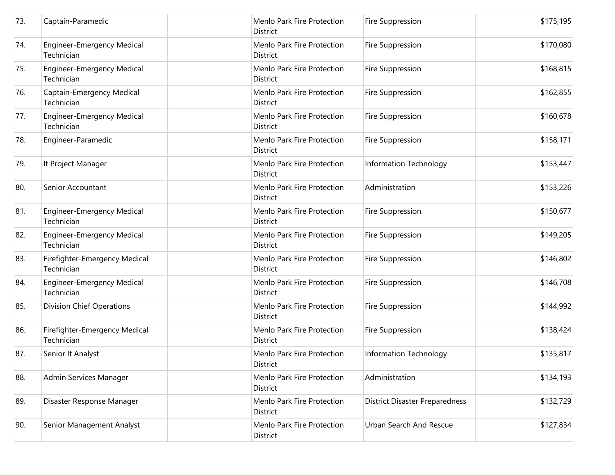| 73. | Captain-Paramedic                               | Menlo Park Fire Protection<br><b>District</b> | Fire Suppression                      | \$175,195 |
|-----|-------------------------------------------------|-----------------------------------------------|---------------------------------------|-----------|
| 74. | <b>Engineer-Emergency Medical</b><br>Technician | Menlo Park Fire Protection<br>District        | Fire Suppression                      | \$170,080 |
| 75. | <b>Engineer-Emergency Medical</b><br>Technician | Menlo Park Fire Protection<br>District        | Fire Suppression                      | \$168,815 |
| 76. | Captain-Emergency Medical<br>Technician         | Menlo Park Fire Protection<br><b>District</b> | Fire Suppression                      | \$162,855 |
| 77. | <b>Engineer-Emergency Medical</b><br>Technician | Menlo Park Fire Protection<br>District        | Fire Suppression                      | \$160,678 |
| 78. | Engineer-Paramedic                              | Menlo Park Fire Protection<br>District        | Fire Suppression                      | \$158,171 |
| 79. | It Project Manager                              | Menlo Park Fire Protection<br>District        | Information Technology                | \$153,447 |
| 80. | Senior Accountant                               | Menlo Park Fire Protection<br>District        | Administration                        | \$153,226 |
| 81. | <b>Engineer-Emergency Medical</b><br>Technician | Menlo Park Fire Protection<br>District        | Fire Suppression                      | \$150,677 |
| 82. | <b>Engineer-Emergency Medical</b><br>Technician | Menlo Park Fire Protection<br>District        | Fire Suppression                      | \$149,205 |
| 83. | Firefighter-Emergency Medical<br>Technician     | Menlo Park Fire Protection<br><b>District</b> | Fire Suppression                      | \$146,802 |
| 84. | <b>Engineer-Emergency Medical</b><br>Technician | Menlo Park Fire Protection<br>District        | Fire Suppression                      | \$146,708 |
| 85. | <b>Division Chief Operations</b>                | Menlo Park Fire Protection<br>District        | Fire Suppression                      | \$144,992 |
| 86. | Firefighter-Emergency Medical<br>Technician     | Menlo Park Fire Protection<br>District        | Fire Suppression                      | \$138,424 |
| 87. | Senior It Analyst                               | Menlo Park Fire Protection<br>District        | <b>Information Technology</b>         | \$135,817 |
| 88. | Admin Services Manager                          | Menlo Park Fire Protection<br>District        | Administration                        | \$134,193 |
| 89. | Disaster Response Manager                       | Menlo Park Fire Protection<br>District        | <b>District Disaster Preparedness</b> | \$132,729 |
| 90. | Senior Management Analyst                       | Menlo Park Fire Protection<br>District        | <b>Urban Search And Rescue</b>        | \$127,834 |